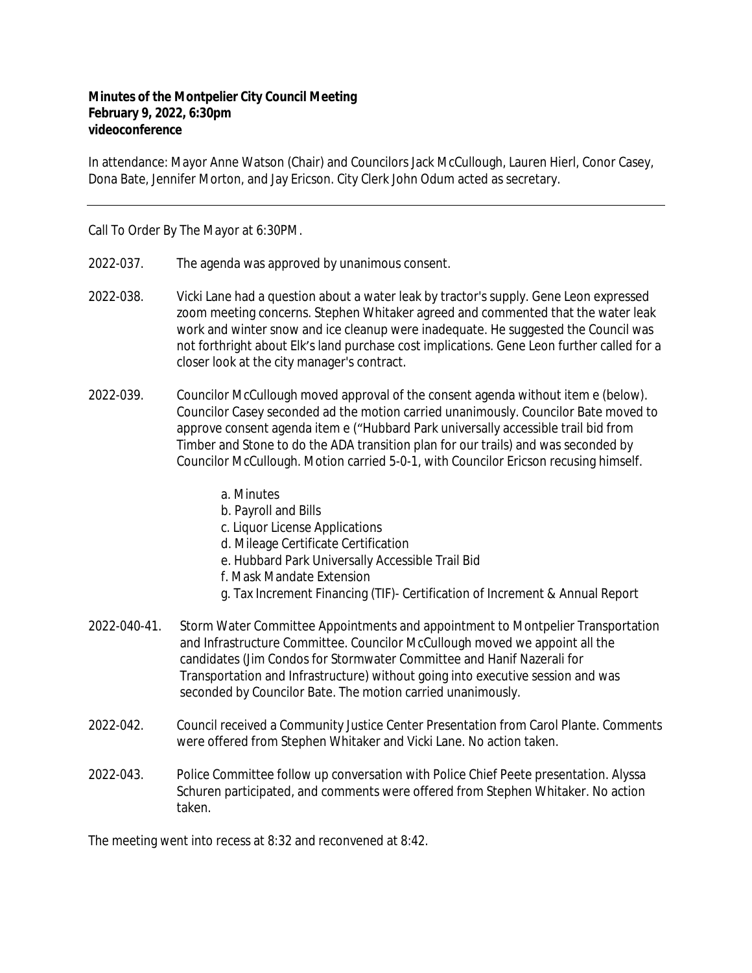## **Minutes of the Montpelier City Council Meeting February 9, 2022, 6:30pm videoconference**

In attendance: Mayor Anne Watson (Chair) and Councilors Jack McCullough, Lauren Hierl, Conor Casey, Dona Bate, Jennifer Morton, and Jay Ericson. City Clerk John Odum acted as secretary.

Call To Order By The Mayor at 6:30PM.

- 2022-037. The agenda was approved by unanimous consent.
- 2022-038. Vicki Lane had a question about a water leak by tractor's supply. Gene Leon expressed zoom meeting concerns. Stephen Whitaker agreed and commented that the water leak work and winter snow and ice cleanup were inadequate. He suggested the Council was not forthright about Elk's land purchase cost implications. Gene Leon further called for a closer look at the city manager's contract.
- 2022-039. Councilor McCullough moved approval of the consent agenda without item e (below). Councilor Casey seconded ad the motion carried unanimously. Councilor Bate moved to approve consent agenda item e ("Hubbard Park universally accessible trail bid from Timber and Stone to do the ADA transition plan for our trails) and was seconded by Councilor McCullough. Motion carried 5-0-1, with Councilor Ericson recusing himself.
	- a. Minutes
	- b. Payroll and Bills
	- c. Liquor License Applications
	- d. Mileage Certificate Certification
	- e. Hubbard Park Universally Accessible Trail Bid
	- f. Mask Mandate Extension
	- g. Tax Increment Financing (TIF)- Certification of Increment & Annual Report
- 2022-040-41. Storm Water Committee Appointments and appointment to Montpelier Transportation and Infrastructure Committee. Councilor McCullough moved we appoint all the candidates (Jim Condos for Stormwater Committee and Hanif Nazerali for Transportation and Infrastructure) without going into executive session and was seconded by Councilor Bate. The motion carried unanimously.
- 2022-042. Council received a Community Justice Center Presentation from Carol Plante. Comments were offered from Stephen Whitaker and Vicki Lane. No action taken.
- 2022-043. Police Committee follow up conversation with Police Chief Peete presentation. Alyssa Schuren participated, and comments were offered from Stephen Whitaker. No action taken.

The meeting went into recess at 8:32 and reconvened at 8:42.